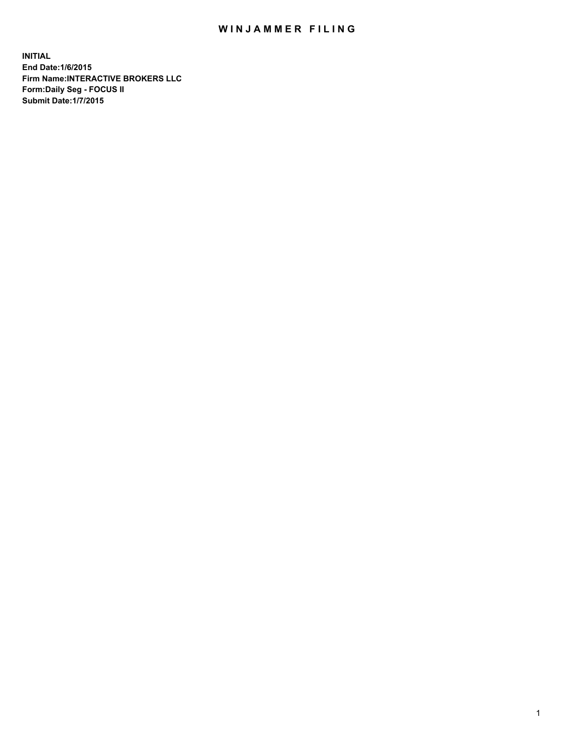## WIN JAMMER FILING

**INITIAL End Date:1/6/2015 Firm Name:INTERACTIVE BROKERS LLC Form:Daily Seg - FOCUS II Submit Date:1/7/2015**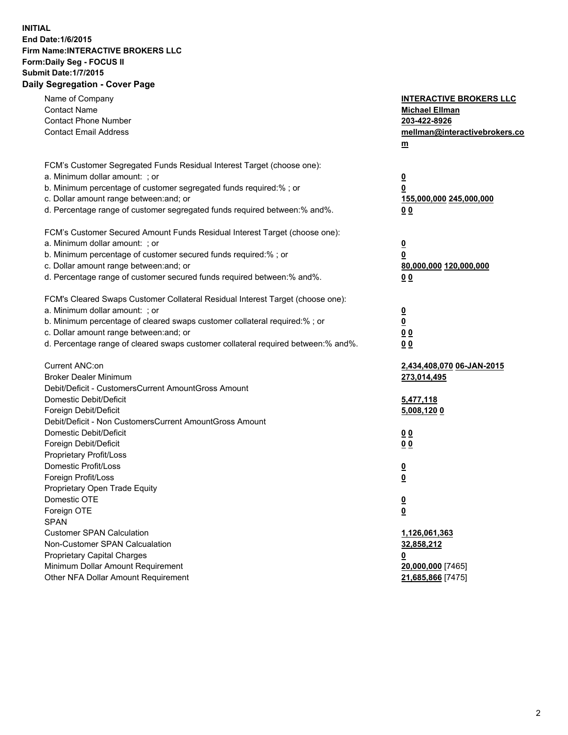## **INITIAL End Date:1/6/2015 Firm Name:INTERACTIVE BROKERS LLC Form:Daily Seg - FOCUS II Submit Date:1/7/2015 Daily Segregation - Cover Page**

| Name of Company<br><b>Contact Name</b><br><b>Contact Phone Number</b><br><b>Contact Email Address</b> | <b>INTERACTIVE BROKERS LLC</b><br><b>Michael Ellman</b><br>203-422-8926<br>mellman@interactivebrokers.co<br>$\underline{\mathbf{m}}$ |
|-------------------------------------------------------------------------------------------------------|--------------------------------------------------------------------------------------------------------------------------------------|
| FCM's Customer Segregated Funds Residual Interest Target (choose one):                                |                                                                                                                                      |
| a. Minimum dollar amount: ; or                                                                        | $\overline{\mathbf{0}}$                                                                                                              |
| b. Minimum percentage of customer segregated funds required:% ; or                                    | 0                                                                                                                                    |
| c. Dollar amount range between: and; or                                                               | 155,000,000 245,000,000                                                                                                              |
| d. Percentage range of customer segregated funds required between:% and%.                             | 00                                                                                                                                   |
| FCM's Customer Secured Amount Funds Residual Interest Target (choose one):                            |                                                                                                                                      |
| a. Minimum dollar amount: ; or                                                                        | $\overline{\mathbf{0}}$                                                                                                              |
| b. Minimum percentage of customer secured funds required:% ; or                                       | 0                                                                                                                                    |
| c. Dollar amount range between: and; or                                                               | 80,000,000 120,000,000                                                                                                               |
| d. Percentage range of customer secured funds required between:% and%.                                | 00                                                                                                                                   |
| FCM's Cleared Swaps Customer Collateral Residual Interest Target (choose one):                        |                                                                                                                                      |
| a. Minimum dollar amount: ; or                                                                        | $\overline{\mathbf{0}}$                                                                                                              |
| b. Minimum percentage of cleared swaps customer collateral required:% ; or                            | $\underline{\mathbf{0}}$                                                                                                             |
| c. Dollar amount range between: and; or                                                               | 0 <sub>0</sub>                                                                                                                       |
| d. Percentage range of cleared swaps customer collateral required between:% and%.                     | 0 <sub>0</sub>                                                                                                                       |
| Current ANC:on                                                                                        | 2,434,408,070 06-JAN-2015                                                                                                            |
| <b>Broker Dealer Minimum</b>                                                                          | 273,014,495                                                                                                                          |
| Debit/Deficit - CustomersCurrent AmountGross Amount                                                   |                                                                                                                                      |
| Domestic Debit/Deficit                                                                                | 5,477,118                                                                                                                            |
| Foreign Debit/Deficit                                                                                 | 5,008,120 0                                                                                                                          |
| Debit/Deficit - Non CustomersCurrent AmountGross Amount                                               |                                                                                                                                      |
| Domestic Debit/Deficit                                                                                | 0 <sub>0</sub>                                                                                                                       |
| Foreign Debit/Deficit                                                                                 | 0 <sub>0</sub>                                                                                                                       |
| Proprietary Profit/Loss                                                                               |                                                                                                                                      |
| Domestic Profit/Loss                                                                                  | $\overline{\mathbf{0}}$                                                                                                              |
| Foreign Profit/Loss                                                                                   | $\underline{\mathbf{0}}$                                                                                                             |
| Proprietary Open Trade Equity                                                                         |                                                                                                                                      |
| Domestic OTE                                                                                          | <u>0</u>                                                                                                                             |
| Foreign OTE                                                                                           | <u>0</u>                                                                                                                             |
| <b>SPAN</b>                                                                                           |                                                                                                                                      |
| <b>Customer SPAN Calculation</b>                                                                      | 1,126,061,363                                                                                                                        |
| Non-Customer SPAN Calcualation                                                                        | 32,858,212                                                                                                                           |
| Proprietary Capital Charges                                                                           | <u>0</u>                                                                                                                             |
| Minimum Dollar Amount Requirement<br>Other NFA Dollar Amount Requirement                              | 20,000,000 [7465]                                                                                                                    |
|                                                                                                       | 21,685,866 [7475]                                                                                                                    |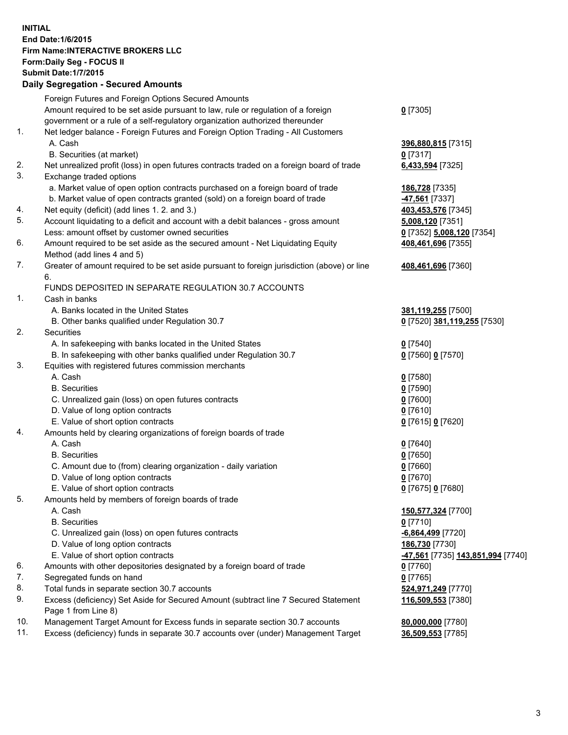## **INITIAL End Date:1/6/2015 Firm Name:INTERACTIVE BROKERS LLC Form:Daily Seg - FOCUS II Submit Date:1/7/2015 Daily Segregation - Secured Amounts**

|     | Foreign Futures and Foreign Options Secured Amounts                                                        |                                                |
|-----|------------------------------------------------------------------------------------------------------------|------------------------------------------------|
|     | Amount required to be set aside pursuant to law, rule or regulation of a foreign                           | $0$ [7305]                                     |
|     | government or a rule of a self-regulatory organization authorized thereunder                               |                                                |
| 1.  | Net ledger balance - Foreign Futures and Foreign Option Trading - All Customers                            |                                                |
|     | A. Cash                                                                                                    | 396,880,815 [7315]                             |
|     | B. Securities (at market)                                                                                  | $0$ [7317]                                     |
| 2.  | Net unrealized profit (loss) in open futures contracts traded on a foreign board of trade                  | 6,433,594 [7325]                               |
| 3.  | Exchange traded options                                                                                    |                                                |
|     | a. Market value of open option contracts purchased on a foreign board of trade                             | 186,728 [7335]                                 |
|     | b. Market value of open contracts granted (sold) on a foreign board of trade                               | -47,561 [7337]                                 |
| 4.  | Net equity (deficit) (add lines 1. 2. and 3.)                                                              | 403,453,576 [7345]                             |
| 5.  | Account liquidating to a deficit and account with a debit balances - gross amount                          | 5,008,120 [7351]                               |
|     | Less: amount offset by customer owned securities                                                           | 0 [7352] 5,008,120 [7354]                      |
| 6.  | Amount required to be set aside as the secured amount - Net Liquidating Equity                             | 408,461,696 [7355]                             |
|     | Method (add lines 4 and 5)                                                                                 |                                                |
| 7.  | Greater of amount required to be set aside pursuant to foreign jurisdiction (above) or line                | 408,461,696 [7360]                             |
|     | 6.                                                                                                         |                                                |
|     | FUNDS DEPOSITED IN SEPARATE REGULATION 30.7 ACCOUNTS                                                       |                                                |
| 1.  | Cash in banks                                                                                              |                                                |
|     | A. Banks located in the United States                                                                      | 381,119,255 [7500]                             |
|     | B. Other banks qualified under Regulation 30.7                                                             | 0 [7520] 381,119,255 [7530]                    |
| 2.  | Securities                                                                                                 |                                                |
|     | A. In safekeeping with banks located in the United States                                                  | $Q$ [7540]                                     |
|     | B. In safekeeping with other banks qualified under Regulation 30.7                                         | 0 [7560] 0 [7570]                              |
| 3.  | Equities with registered futures commission merchants                                                      |                                                |
|     | A. Cash                                                                                                    | $0$ [7580]                                     |
|     | <b>B.</b> Securities                                                                                       | $0$ [7590]                                     |
|     | C. Unrealized gain (loss) on open futures contracts                                                        | $0$ [7600]                                     |
|     | D. Value of long option contracts                                                                          | $0$ [7610]                                     |
|     | E. Value of short option contracts                                                                         | 0 [7615] 0 [7620]                              |
| 4.  | Amounts held by clearing organizations of foreign boards of trade                                          |                                                |
|     | A. Cash                                                                                                    | $0$ [7640]                                     |
|     | <b>B.</b> Securities                                                                                       | $0$ [7650]                                     |
|     | C. Amount due to (from) clearing organization - daily variation                                            | $0$ [7660]                                     |
|     | D. Value of long option contracts                                                                          | $0$ [7670]                                     |
|     | E. Value of short option contracts                                                                         | 0 [7675] 0 [7680]                              |
| 5.  | Amounts held by members of foreign boards of trade                                                         |                                                |
|     | A. Cash                                                                                                    | 150,577,324 [7700]                             |
|     | <b>B.</b> Securities                                                                                       | $0$ [7710]                                     |
|     | C. Unrealized gain (loss) on open futures contracts                                                        | $-6,864,499$ [7720]                            |
|     | D. Value of long option contracts                                                                          | 186,730 [7730]                                 |
|     | E. Value of short option contracts                                                                         | <mark>-47,561</mark> [7735] 143,851,994 [7740] |
| 6.  | Amounts with other depositories designated by a foreign board of trade                                     | $0$ [7760]                                     |
| 7.  | Segregated funds on hand                                                                                   | $0$ [7765]                                     |
| 8.  | Total funds in separate section 30.7 accounts                                                              | 524,971,249 [7770]                             |
| 9.  | Excess (deficiency) Set Aside for Secured Amount (subtract line 7 Secured Statement<br>Page 1 from Line 8) | 116,509,553 [7380]                             |
| 10. | Management Target Amount for Excess funds in separate section 30.7 accounts                                | 80,000,000 [7780]                              |
| 11. | Excess (deficiency) funds in separate 30.7 accounts over (under) Management Target                         | 36,509,553 [7785]                              |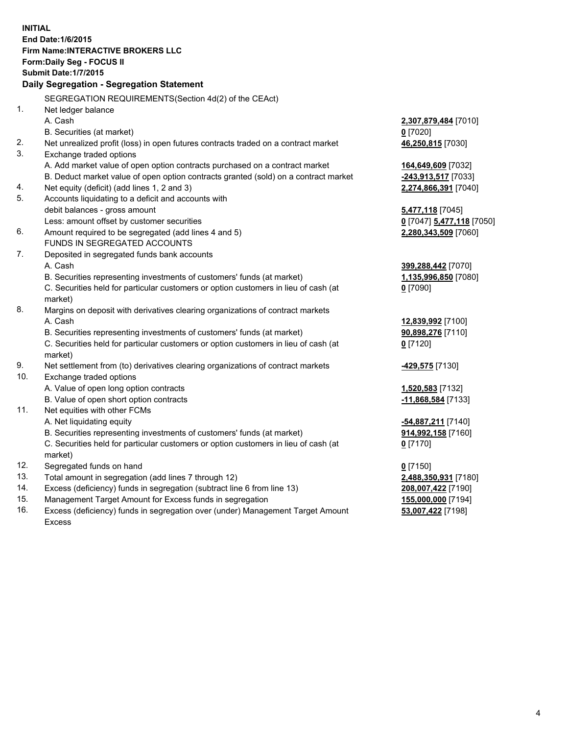**INITIAL End Date:1/6/2015 Firm Name:INTERACTIVE BROKERS LLC Form:Daily Seg - FOCUS II Submit Date:1/7/2015 Daily Segregation - Segregation Statement** SEGREGATION REQUIREMENTS(Section 4d(2) of the CEAct) 1. Net ledger balance A. Cash **2,307,879,484** [7010] B. Securities (at market) **0** [7020] 2. Net unrealized profit (loss) in open futures contracts traded on a contract market **46,250,815** [7030] 3. Exchange traded options A. Add market value of open option contracts purchased on a contract market **164,649,609** [7032] B. Deduct market value of open option contracts granted (sold) on a contract market **-243,913,517** [7033] 4. Net equity (deficit) (add lines 1, 2 and 3) **2,274,866,391** [7040] 5. Accounts liquidating to a deficit and accounts with debit balances - gross amount **5,477,118** [7045] Less: amount offset by customer securities **0** [7047] **5,477,118** [7050] 6. Amount required to be segregated (add lines 4 and 5) **2,280,343,509** [7060] FUNDS IN SEGREGATED ACCOUNTS 7. Deposited in segregated funds bank accounts A. Cash **399,288,442** [7070] B. Securities representing investments of customers' funds (at market) **1,135,996,850** [7080] C. Securities held for particular customers or option customers in lieu of cash (at market) **0** [7090] 8. Margins on deposit with derivatives clearing organizations of contract markets A. Cash **12,839,992** [7100] B. Securities representing investments of customers' funds (at market) **90,898,276** [7110] C. Securities held for particular customers or option customers in lieu of cash (at market) **0** [7120] 9. Net settlement from (to) derivatives clearing organizations of contract markets **-429,575** [7130] 10. Exchange traded options A. Value of open long option contracts **1,520,583** [7132] B. Value of open short option contracts **-11,868,584** [7133] 11. Net equities with other FCMs A. Net liquidating equity **-54,887,211** [7140] B. Securities representing investments of customers' funds (at market) **914,992,158** [7160] C. Securities held for particular customers or option customers in lieu of cash (at market) **0** [7170] 12. Segregated funds on hand **0** [7150] 13. Total amount in segregation (add lines 7 through 12) **2,488,350,931** [7180] 14. Excess (deficiency) funds in segregation (subtract line 6 from line 13) **208,007,422** [7190] 15. Management Target Amount for Excess funds in segregation **155,000,000** [7194]

16. Excess (deficiency) funds in segregation over (under) Management Target Amount Excess

**53,007,422** [7198]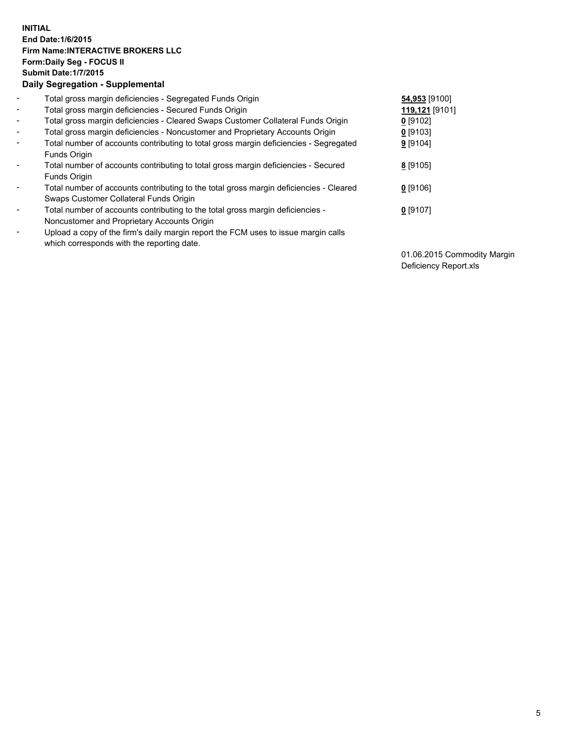## **INITIAL End Date:1/6/2015 Firm Name:INTERACTIVE BROKERS LLC Form:Daily Seg - FOCUS II Submit Date:1/7/2015 Daily Segregation - Supplemental**

| $\blacksquare$ | Total gross margin deficiencies - Segregated Funds Origin                              | 54,953 [9100]  |
|----------------|----------------------------------------------------------------------------------------|----------------|
| $\sim$         | Total gross margin deficiencies - Secured Funds Origin                                 | 119,121 [9101] |
| $\blacksquare$ | Total gross margin deficiencies - Cleared Swaps Customer Collateral Funds Origin       | $0$ [9102]     |
| $\blacksquare$ | Total gross margin deficiencies - Noncustomer and Proprietary Accounts Origin          | $0$ [9103]     |
| $\blacksquare$ | Total number of accounts contributing to total gross margin deficiencies - Segregated  | $9$ [9104]     |
|                | Funds Origin                                                                           |                |
| $\blacksquare$ | Total number of accounts contributing to total gross margin deficiencies - Secured     | 8 [9105]       |
|                | Funds Origin                                                                           |                |
| $\blacksquare$ | Total number of accounts contributing to the total gross margin deficiencies - Cleared | 0 [9106]       |
|                | Swaps Customer Collateral Funds Origin                                                 |                |
| $\blacksquare$ | Total number of accounts contributing to the total gross margin deficiencies -         | $0$ [9107]     |
|                | Noncustomer and Proprietary Accounts Origin                                            |                |
| ۰              | Upload a copy of the firm's daily margin report the FCM uses to issue margin calls     |                |
|                | which corresponds with the reporting date.                                             |                |

01.06.2015 Commodity Margin Deficiency Report.xls